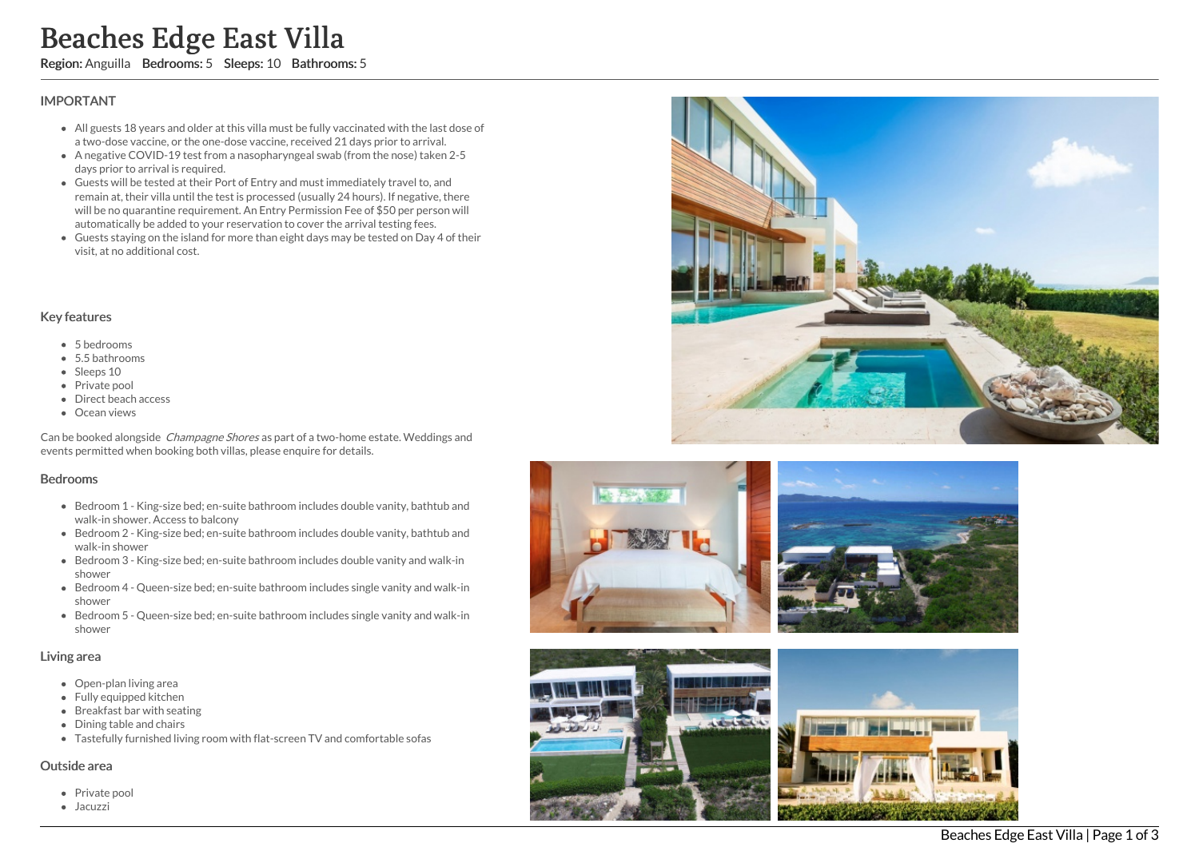# s Edge East Villa

Region: Anguilla Bedrooms: 5 Sleeps: 10 Bathrooms: 5

## **IMPORTANT**

- All guests 18 years and older at this villa must be fully vaccinated with the last dose of a two-dose vaccine, or the one-dose vaccine, received 21 days prior to arrival.
- A negative COVID-19 test from a nasopharyngeal swab (from the nose) taken 2 5 days prior to arrival is required.
- Guests will be tested at their Port of Entry and must immediately travel to, and remain at, their villa until the test is processed (usually 24 hours). If negative, there will be no quarantine requirement. An Entry Permission Fee of \$50 per person will automatically be added to your reservation to cover the arrival testing fees. **Beaches**<br> **Region:** Anguilla<br> **IMPORTANT**<br>
• All guests 18<br>
• a two-dose va<br>
• A negative CC<br>
days prior to a<br>
• Guests will be no qua<br>
• automatically<br>
• Guests stayin<br>
• visit, at no add<br>
• Guests stayin<br>
• visit, at no
	- Guests staying on the island for more than eight days may be tested on Day 4 of th eir visit, at no additional cost.

#### Key features

- 5 bedrooms
- $\bullet$  5.5 bathrooms
- Sleeps 10
- Private pool
- Direct beach access
- **•** Ocean views

Can be booked alongside *Champagne Shores* as part of a two-home estate. Weddings and events permitted when booking both villas, please enquire for details.

#### Bedrooms

- Bedroom 1 King-size bed; en-suite bathroom includes double vanity, bathtub and walk-in shower. Access to balcony
- Bedroom 2 King-size bed; en-suite bathroom includes double vanity, bathtub and walk-in shower
- Bedroom 3 King-size bed; en-suite bathroom includes double vanity and walk-in s h o w e r
- Bedroom 4 Queen-size bed; en-suite bathroom includes single vanity and walk-in s h o w e r
- Bedroom 5 Queen-size bed; en-suite bathroom includes single vanity and walk-in s h o w e r

#### Living area

- Open-plan living area
- Fully equipped kitchen
- Breakfast bar with seating
- Dining table and chairs
- Tastefully furnished living room with flat-screen TV and comfortable sofas

#### Outside area

- Private pool
- $\bullet$  Jacuzzi









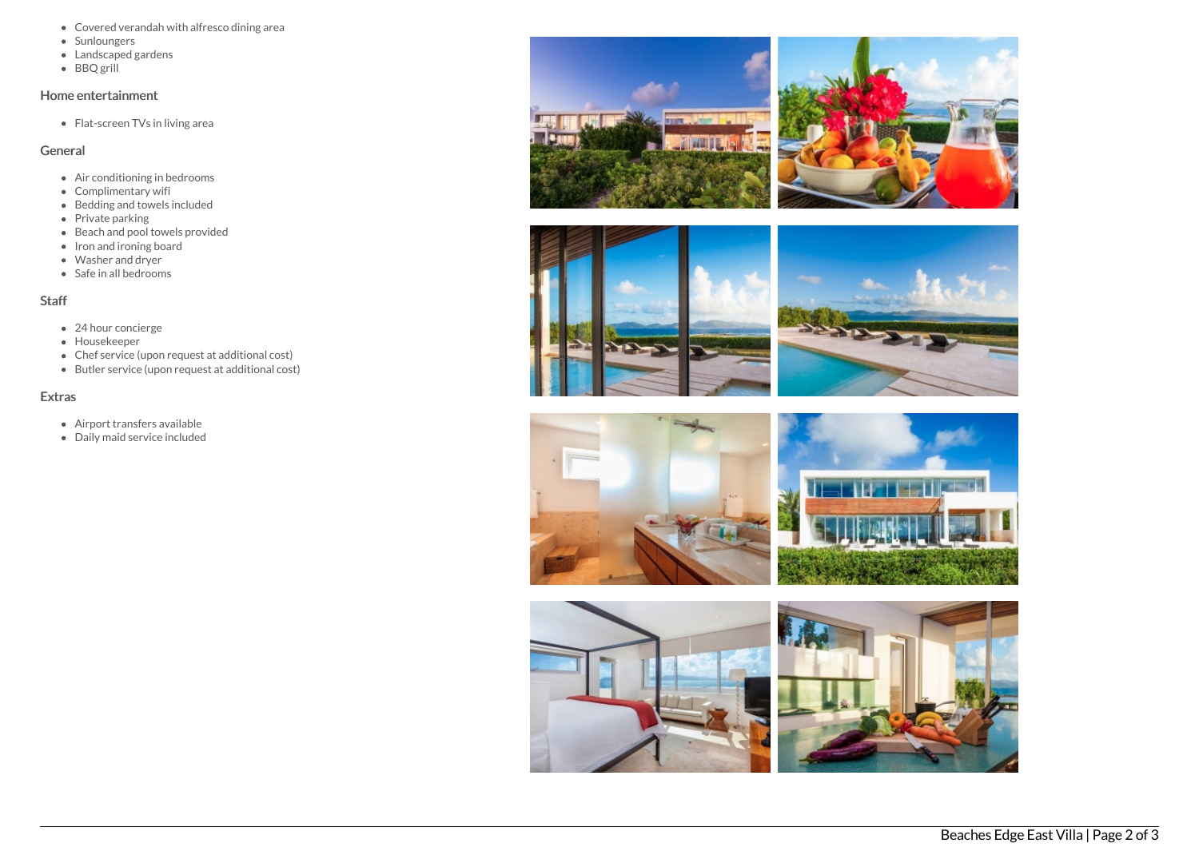- Covered verandah with alfresco dining area
- Sunloungers
- Landscaped gardens
- $\bullet$  BBQ grill

### Home entertainment

• Flat-screen TVs in living area

## General

- Air conditioning in bedrooms
- Complimentary wifi
- $\bullet$  Bedding and towels included
- Private parking
- Beach and pool towels provided
- Iron and ironing board
- Washer and dryer
- Safe in all bedrooms

## **Staff**

- 24 hour concierge
- Housekeeper
- Chef service (upon request at additional cost)
- Butler service (upon request at additional cost)

## Extras

- Airport transfers available
- Daily maid service included